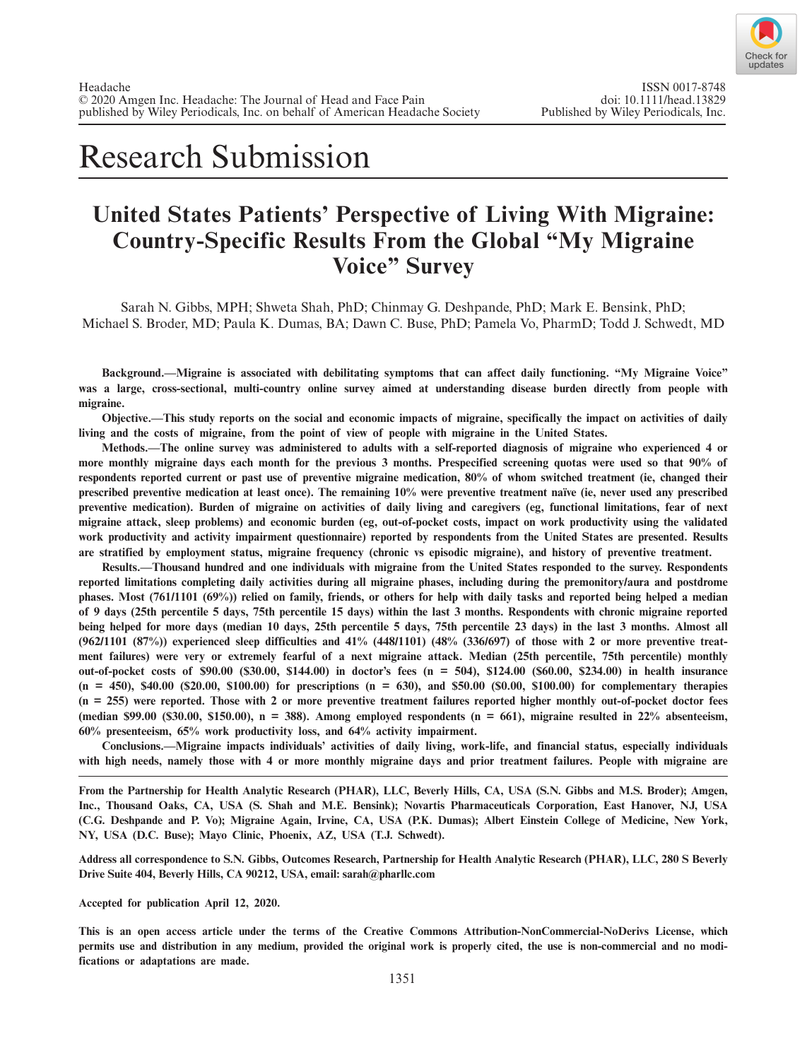# Research Submission

# **United States Patients' Perspective of Living With Migraine: Country-Specific Results From the Global "My Migraine Voice" Survey**

Sarah N. Gibbs, MPH; Shweta Shah, PhD; Chinmay G. Deshpande, PhD; Mark E. Bensink, PhD; Michael S. Broder, MD; Paula K. Dumas, BA; Dawn C. Buse, PhD; Pamela Vo, PharmD; Todd J. Schwedt, MD

**Background.—Migraine is associated with debilitating symptoms that can affect daily functioning. "My Migraine Voice" was a large, cross-sectional, multi-country online survey aimed at understanding disease burden directly from people with migraine.**

**Objective.—This study reports on the social and economic impacts of migraine, specifically the impact on activities of daily living and the costs of migraine, from the point of view of people with migraine in the United States.**

**Methods.—The online survey was administered to adults with a self-reported diagnosis of migraine who experienced 4 or more monthly migraine days each month for the previous 3 months. Prespecified screening quotas were used so that 90% of respondents reported current or past use of preventive migraine medication, 80% of whom switched treatment (ie, changed their prescribed preventive medication at least once). The remaining 10% were preventive treatment naïve (ie, never used any prescribed preventive medication). Burden of migraine on activities of daily living and caregivers (eg, functional limitations, fear of next migraine attack, sleep problems) and economic burden (eg, out-of-pocket costs, impact on work productivity using the validated work productivity and activity impairment questionnaire) reported by respondents from the United States are presented. Results are stratified by employment status, migraine frequency (chronic vs episodic migraine), and history of preventive treatment.**

**Results.—Thousand hundred and one individuals with migraine from the United States responded to the survey. Respondents reported limitations completing daily activities during all migraine phases, including during the premonitory/aura and postdrome phases. Most (761/1101 (69%)) relied on family, friends, or others for help with daily tasks and reported being helped a median of 9 days (25th percentile 5 days, 75th percentile 15 days) within the last 3 months. Respondents with chronic migraine reported**  being helped for more days (median 10 days, 25th percentile 5 days, 75th percentile 23 days) in the last 3 months. Almost all **(962/1101 (87%)) experienced sleep difficulties and 41% (448/1101) (48% (336/697) of those with 2 or more preventive treatment failures) were very or extremely fearful of a next migraine attack. Median (25th percentile, 75th percentile) monthly out-of-pocket costs of \$90.00 (\$30.00, \$144.00) in doctor's fees (n = 504), \$124.00 (\$60.00, \$234.00) in health insurance (n = 450), \$40.00 (\$20.00, \$100.00) for prescriptions (n = 630), and \$50.00 (\$0.00, \$100.00) for complementary therapies (n = 255) were reported. Those with 2 or more preventive treatment failures reported higher monthly out-of-pocket doctor fees (median \$99.00 (\$30.00, \$150.00), n = 388). Among employed respondents (n = 661), migraine resulted in 22% absenteeism, 60% presenteeism, 65% work productivity loss, and 64% activity impairment.**

**Conclusions.—Migraine impacts individuals' activities of daily living, work-life, and financial status, especially individuals with high needs, namely those with 4 or more monthly migraine days and prior treatment failures. People with migraine are** 

**From the Partnership for Health Analytic Research (PHAR), LLC, Beverly Hills, CA, USA (S.N. Gibbs and M.S. Broder); Amgen, Inc., Thousand Oaks, CA, USA (S. Shah and M.E. Bensink); Novartis Pharmaceuticals Corporation, East Hanover, NJ, USA (C.G. Deshpande and P. Vo); Migraine Again, Irvine, CA, USA (P.K. Dumas); Albert Einstein College of Medicine, New York, NY, USA (D.C. Buse); Mayo Clinic, Phoenix, AZ, USA (T.J. Schwedt).**

**Address all correspondence to S.N. Gibbs, Outcomes Research, Partnership for Health Analytic Research (PHAR), LLC, 280 S Beverly Drive Suite 404, Beverly Hills, CA 90212, USA, email: [sarah@pharllc.com](mailto:sarah@pharllc.com)**

#### **Accepted for publication April 12, 2020.**

**This is an open access article under the terms of the [Creative Commons Attribution-NonCommercial-NoDerivs](http://creativecommons.org/licenses/by-nc-nd/4.0/) License, which permits use and distribution in any medium, provided the original work is properly cited, the use is non-commercial and no modifications or adaptations are made.**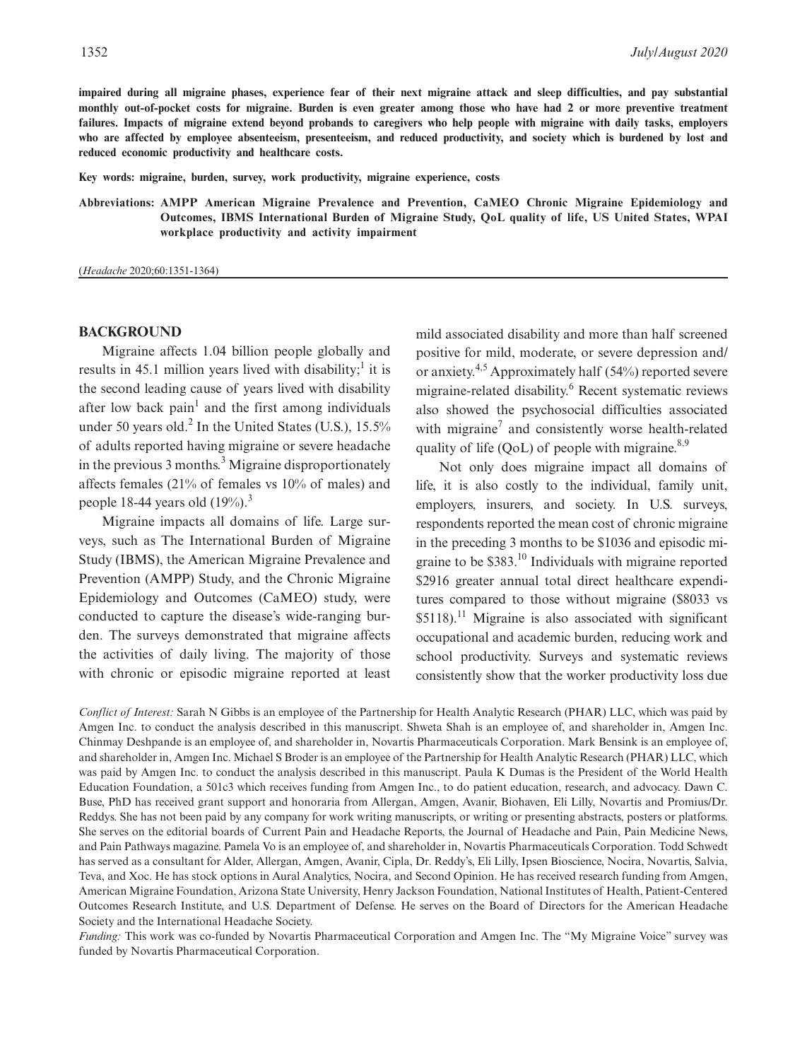**impaired during all migraine phases, experience fear of their next migraine attack and sleep difficulties, and pay substantial monthly out-of-pocket costs for migraine. Burden is even greater among those who have had 2 or more preventive treatment failures. Impacts of migraine extend beyond probands to caregivers who help people with migraine with daily tasks, employers**  who are affected by employee absenteeism, presenteeism, and reduced productivity, and society which is burdened by lost and **reduced economic productivity and healthcare costs.**

**Key words: migraine, burden, survey, work productivity, migraine experience, costs**

**Abbreviations: AMPP American Migraine Prevalence and Prevention, CaMEO Chronic Migraine Epidemiology and Outcomes, IBMS International Burden of Migraine Study, QoL quality of life, US United States, WPAI workplace productivity and activity impairment**

(*Headache* 2020;60:1351-1364)

# **BACKGROUND**

Migraine affects 1.04 billion people globally and results in 45.1 million years lived with disability;<sup>1</sup> it is the second leading cause of years lived with disability after low back  $pain<sup>1</sup>$  and the first among individuals under 50 years old.<sup>2</sup> In the United States (U.S.),  $15.5\%$ of adults reported having migraine or severe headache in the previous 3 months.<sup>3</sup> Migraine disproportionately affects females (21% of females vs 10% of males) and people 18-44 years old  $(19\%)$ .<sup>3</sup>

Migraine impacts all domains of life. Large surveys, such as The International Burden of Migraine Study (IBMS), the American Migraine Prevalence and Prevention (AMPP) Study, and the Chronic Migraine Epidemiology and Outcomes (CaMEO) study, were conducted to capture the disease's wide-ranging burden. The surveys demonstrated that migraine affects the activities of daily living. The majority of those with chronic or episodic migraine reported at least

mild associated disability and more than half screened positive for mild, moderate, or severe depression and/ or anxiety.4,5 Approximately half (54%) reported severe migraine-related disability.<sup>6</sup> Recent systematic reviews also showed the psychosocial difficulties associated with migraine<sup>7</sup> and consistently worse health-related quality of life  $(QoL)$  of people with migraine.<sup>8,9</sup>

Not only does migraine impact all domains of life, it is also costly to the individual, family unit, employers, insurers, and society. In U.S. surveys, respondents reported the mean cost of chronic migraine in the preceding 3 months to be \$1036 and episodic migraine to be \$383.10 Individuals with migraine reported \$2916 greater annual total direct healthcare expenditures compared to those without migraine (\$8033 vs  $$5118$ <sup>11</sup> Migraine is also associated with significant occupational and academic burden, reducing work and school productivity. Surveys and systematic reviews consistently show that the worker productivity loss due

*Conflict of Interest:* Sarah N Gibbs is an employee of the Partnership for Health Analytic Research (PHAR) LLC, which was paid by Amgen Inc. to conduct the analysis described in this manuscript. Shweta Shah is an employee of, and shareholder in, Amgen Inc. Chinmay Deshpande is an employee of, and shareholder in, Novartis Pharmaceuticals Corporation. Mark Bensink is an employee of, and shareholder in, Amgen Inc. Michael S Broder is an employee of the Partnership for Health Analytic Research (PHAR) LLC, which was paid by Amgen Inc. to conduct the analysis described in this manuscript. Paula K Dumas is the President of the World Health Education Foundation, a 501c3 which receives funding from Amgen Inc., to do patient education, research, and advocacy. Dawn C. Buse, PhD has received grant support and honoraria from Allergan, Amgen, Avanir, Biohaven, Eli Lilly, Novartis and Promius/Dr. Reddys. She has not been paid by any company for work writing manuscripts, or writing or presenting abstracts, posters or platforms. She serves on the editorial boards of Current Pain and Headache Reports, the Journal of Headache and Pain, Pain Medicine News, and Pain Pathways magazine. Pamela Vo is an employee of, and shareholder in, Novartis Pharmaceuticals Corporation. Todd Schwedt has served as a consultant for Alder, Allergan, Amgen, Avanir, Cipla, Dr. Reddy's, Eli Lilly, Ipsen Bioscience, Nocira, Novartis, Salvia, Teva, and Xoc. He has stock options in Aural Analytics, Nocira, and Second Opinion. He has received research funding from Amgen, American Migraine Foundation, Arizona State University, Henry Jackson Foundation, National Institutes of Health, Patient-Centered Outcomes Research Institute, and U.S. Department of Defense. He serves on the Board of Directors for the American Headache Society and the International Headache Society.

*Funding:* This work was co-funded by Novartis Pharmaceutical Corporation and Amgen Inc. The "My Migraine Voice" survey was funded by Novartis Pharmaceutical Corporation.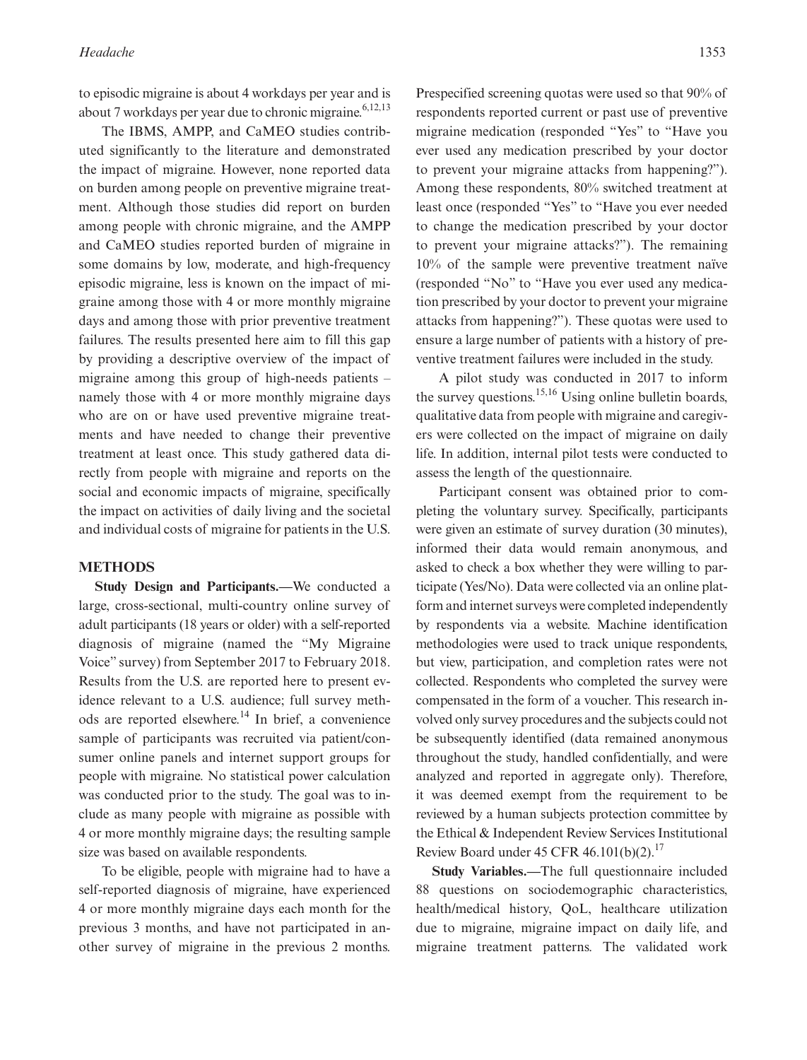to episodic migraine is about 4 workdays per year and is about 7 workdays per year due to chronic migraine.  $6,12,13$ 

The IBMS, AMPP, and CaMEO studies contributed significantly to the literature and demonstrated the impact of migraine. However, none reported data on burden among people on preventive migraine treatment. Although those studies did report on burden among people with chronic migraine, and the AMPP and CaMEO studies reported burden of migraine in some domains by low, moderate, and high-frequency episodic migraine, less is known on the impact of migraine among those with 4 or more monthly migraine days and among those with prior preventive treatment failures. The results presented here aim to fill this gap by providing a descriptive overview of the impact of migraine among this group of high-needs patients – namely those with 4 or more monthly migraine days who are on or have used preventive migraine treatments and have needed to change their preventive treatment at least once. This study gathered data directly from people with migraine and reports on the social and economic impacts of migraine, specifically the impact on activities of daily living and the societal and individual costs of migraine for patients in the U.S.

# **METHODS**

**Study Design and Participants.—**We conducted a large, cross-sectional, multi-country online survey of adult participants (18 years or older) with a self-reported diagnosis of migraine (named the "My Migraine Voice" survey) from September 2017 to February 2018. Results from the U.S. are reported here to present evidence relevant to a U.S. audience; full survey methods are reported elsewhere.<sup>14</sup> In brief, a convenience sample of participants was recruited via patient/consumer online panels and internet support groups for people with migraine. No statistical power calculation was conducted prior to the study. The goal was to include as many people with migraine as possible with 4 or more monthly migraine days; the resulting sample size was based on available respondents.

To be eligible, people with migraine had to have a self-reported diagnosis of migraine, have experienced 4 or more monthly migraine days each month for the previous 3 months, and have not participated in another survey of migraine in the previous 2 months.

Prespecified screening quotas were used so that 90% of respondents reported current or past use of preventive migraine medication (responded "Yes" to "Have you ever used any medication prescribed by your doctor to prevent your migraine attacks from happening?"). Among these respondents, 80% switched treatment at least once (responded "Yes" to "Have you ever needed to change the medication prescribed by your doctor to prevent your migraine attacks?"). The remaining 10% of the sample were preventive treatment naïve (responded "No" to "Have you ever used any medication prescribed by your doctor to prevent your migraine attacks from happening?"). These quotas were used to ensure a large number of patients with a history of preventive treatment failures were included in the study.

A pilot study was conducted in 2017 to inform the survey questions.<sup>15,16</sup> Using online bulletin boards, qualitative data from people with migraine and caregivers were collected on the impact of migraine on daily life. In addition, internal pilot tests were conducted to assess the length of the questionnaire.

Participant consent was obtained prior to completing the voluntary survey. Specifically, participants were given an estimate of survey duration (30 minutes), informed their data would remain anonymous, and asked to check a box whether they were willing to participate (Yes/No). Data were collected via an online platform and internet surveys were completed independently by respondents via a website. Machine identification methodologies were used to track unique respondents, but view, participation, and completion rates were not collected. Respondents who completed the survey were compensated in the form of a voucher. This research involved only survey procedures and the subjects could not be subsequently identified (data remained anonymous throughout the study, handled confidentially, and were analyzed and reported in aggregate only). Therefore, it was deemed exempt from the requirement to be reviewed by a human subjects protection committee by the Ethical & Independent Review Services Institutional Review Board under 45 CFR 46.101(b)(2).<sup>17</sup>

**Study Variables.—**The full questionnaire included 88 questions on sociodemographic characteristics, health/medical history, QoL, healthcare utilization due to migraine, migraine impact on daily life, and migraine treatment patterns. The validated work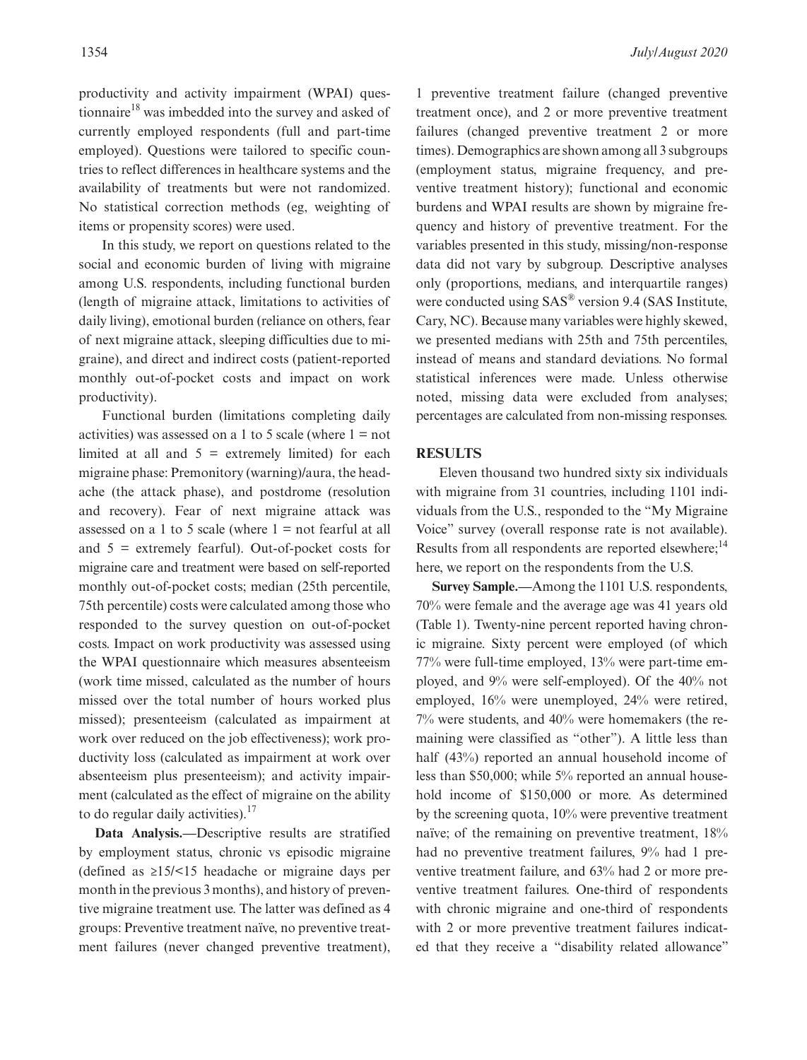productivity and activity impairment (WPAI) questionnaire $18$  was imbedded into the survey and asked of currently employed respondents (full and part-time employed). Questions were tailored to specific countries to reflect differences in healthcare systems and the availability of treatments but were not randomized. No statistical correction methods (eg, weighting of items or propensity scores) were used.

In this study, we report on questions related to the social and economic burden of living with migraine among U.S. respondents, including functional burden (length of migraine attack, limitations to activities of daily living), emotional burden (reliance on others, fear of next migraine attack, sleeping difficulties due to migraine), and direct and indirect costs (patient-reported monthly out-of-pocket costs and impact on work productivity).

Functional burden (limitations completing daily activities) was assessed on a 1 to 5 scale (where  $1 = not$ limited at all and  $5 =$  extremely limited) for each migraine phase: Premonitory (warning)/aura, the headache (the attack phase), and postdrome (resolution and recovery). Fear of next migraine attack was assessed on a 1 to 5 scale (where  $1 =$  not fearful at all and  $5 =$  extremely fearful). Out-of-pocket costs for migraine care and treatment were based on self-reported monthly out-of-pocket costs; median (25th percentile, 75th percentile) costs were calculated among those who responded to the survey question on out-of-pocket costs. Impact on work productivity was assessed using the WPAI questionnaire which measures absenteeism (work time missed, calculated as the number of hours missed over the total number of hours worked plus missed); presenteeism (calculated as impairment at work over reduced on the job effectiveness); work productivity loss (calculated as impairment at work over absenteeism plus presenteeism); and activity impairment (calculated as the effect of migraine on the ability to do regular daily activities). $17$ 

**Data Analysis.—**Descriptive results are stratified by employment status, chronic vs episodic migraine (defined as ≥15/<15 headache or migraine days per month in the previous 3 months), and history of preventive migraine treatment use. The latter was defined as 4 groups: Preventive treatment naïve, no preventive treatment failures (never changed preventive treatment),

1 preventive treatment failure (changed preventive treatment once), and 2 or more preventive treatment failures (changed preventive treatment 2 or more times). Demographics are shown among all 3 subgroups (employment status, migraine frequency, and preventive treatment history); functional and economic burdens and WPAI results are shown by migraine frequency and history of preventive treatment. For the variables presented in this study, missing/non-response data did not vary by subgroup. Descriptive analyses only (proportions, medians, and interquartile ranges) were conducted using SAS® version 9.4 (SAS Institute, Cary, NC). Because many variables were highly skewed, we presented medians with 25th and 75th percentiles, instead of means and standard deviations. No formal statistical inferences were made. Unless otherwise noted, missing data were excluded from analyses; percentages are calculated from non-missing responses.

#### **RESULTS**

Eleven thousand two hundred sixty six individuals with migraine from 31 countries, including 1101 individuals from the U.S., responded to the "My Migraine Voice" survey (overall response rate is not available). Results from all respondents are reported elsewhere;<sup>14</sup> here, we report on the respondents from the U.S.

**Survey Sample.—**Among the 1101 U.S. respondents, 70% were female and the average age was 41 years old (Table 1). Twenty-nine percent reported having chronic migraine. Sixty percent were employed (of which 77% were full-time employed, 13% were part-time employed, and 9% were self-employed). Of the 40% not employed, 16% were unemployed, 24% were retired, 7% were students, and 40% were homemakers (the remaining were classified as "other"). A little less than half (43%) reported an annual household income of less than \$50,000; while 5% reported an annual household income of \$150,000 or more. As determined by the screening quota, 10% were preventive treatment naïve; of the remaining on preventive treatment, 18% had no preventive treatment failures, 9% had 1 preventive treatment failure, and 63% had 2 or more preventive treatment failures. One-third of respondents with chronic migraine and one-third of respondents with 2 or more preventive treatment failures indicated that they receive a "disability related allowance"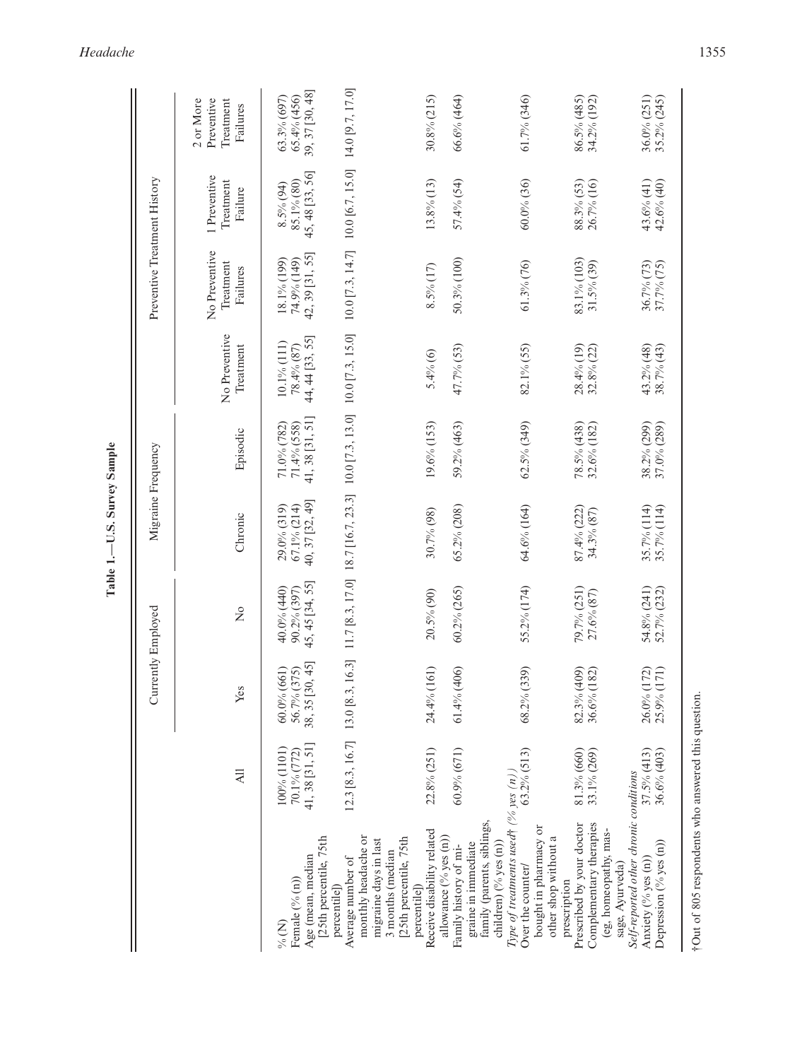|                                                                                                                                                                                  |                                               | Currently Employed                                 |                                               | Migraine Frequency                                  |                                               |                                              | Preventive Treatment History                     |                                               |                                                  |
|----------------------------------------------------------------------------------------------------------------------------------------------------------------------------------|-----------------------------------------------|----------------------------------------------------|-----------------------------------------------|-----------------------------------------------------|-----------------------------------------------|----------------------------------------------|--------------------------------------------------|-----------------------------------------------|--------------------------------------------------|
|                                                                                                                                                                                  | $\overline{AB}$                               | Yes                                                | $\overline{X}$                                | Chronic                                             | Episodic                                      | No Preventive<br>Ireatment                   | No Preventive<br>Treatment<br>Failures           | 1 Preventive<br>Treatment<br>Failure          | Preventive<br>Treatment<br>2 or More<br>Failures |
| [25th percentile, 75th<br>Age (mean, median<br>Female (% (n))<br>R<br>≫                                                                                                          | 41, 38 [31, 51]<br>100% (1101)<br>70.1% (772) | 38, 35 [30, 45]<br>$60.0\%$ $(661)$<br>56.7% (375) | 45, 45 [34, 55]<br>90.2% (397)<br>40.0% (440) | 40, 37 [32, 49]<br>67.1% (214)<br>$29.0\%$ (319)    | 41, 38 [31, 51]<br>71.4% (558)<br>71.0% (782) | 44, 44 [33, 55]<br>10.1% (111)<br>78.4% (87) | 42, 39 [31, 55]<br>74.9% (149)<br>$18.1\%$ (199) | 45, 48 [33, 56]<br>85.1% (80)<br>$8.5\%$ (94) | 39, 37 [30, 48]<br>65.4% (456)<br>63.3% (697)    |
| monthly headache or<br>25th percentile, 75th<br>migraine days in last<br>3 months (median<br>Average number of<br>percentile])                                                   |                                               | $12.3 [8.3, 16.7]$ 13.0 [8.3, 16.3]                |                                               | 11.7 [8.3, 17.0] 18.7 [16.7, 23.3] 10.0 [7.3, 13.0] |                                               | 10.0 [7.3, 15.0]                             | $10.0$ [7.3, 14.7]                               | 10.0 [6.7, 15.0]                              | 14.0 [9.7, 17.0]                                 |
| Receive disability related<br>percentile])                                                                                                                                       | 22.8% (251)                                   | (161)<br>24.4%                                     | 20.5% (90)                                    | 30.7% (98)                                          | 19.6% (153)                                   | $5.4\%$ (6)                                  | $8.5\%$ (17)                                     | 13.8% (13)                                    | 30.8% (215)                                      |
| allowance $(\%$ yes $(n))$<br>graine in immediate<br>Family history of mi-                                                                                                       | 60.9% (671)                                   | (406)<br>61.4%                                     | 60.2% (265)                                   | 65.2% (208)                                         | 59.2% (463)                                   | 47.7% (53)                                   | 50.3% (100)                                      | 57.4% (54)                                    | 66.6% (464)                                      |
| Type of treatments used <sup>+</sup> (% yes $(n)$ )<br>family (parents, siblings,<br>bought in pharmacy or<br>other shop without a<br>children) (% yes (n))<br>Over the counter/ | $63.2\% (513)$                                | (339)<br>68.2%                                     | 55.2% (174)                                   | 64.6% (164)                                         | $62.5%$ (349)                                 | 82.1% (55)                                   | 61.3%(76)                                        | $60.0\%$ (36)                                 | $61.7\%$ (346)                                   |
| Prescribed by your doctor<br>Complementary therapies<br>(eg, homeopathy, mas-<br>prescription                                                                                    | 81.3% (660)<br>33.1% (269)                    | (409)<br>(182)<br>82.3%<br>36.6%                   | 79.7% (251)<br>27.6% (87)                     | 87.4% (222)<br>34.3% (87)                           | 78.5% (438)<br>32.6% (182)                    | 28.4% (19)<br>32.8% (22)                     | 83.1% (103)<br>$31.5\%$ (39)                     | 88.3% (53)<br>26.7% (16)                      | 86.5% (485)<br>34.2% (192)                       |
| Self-reported other chronic conditions<br>Depression $(^{96}$ yes $(n))$<br>Anxiety (% yes (n))<br>sage, Ayurveda                                                                | $37.5\%$ (413)<br>36.6% (403)                 | (172)<br>(171)<br>26.0%<br>25.9%                   | 54.8% (241)<br>52.7% (232)                    | 35.7% (114)<br>35.7% (114)                          | 38.2% (299)<br>37.0% (289)                    | 43.2% (48)<br>$38.7%$ (43)                   | 36.7% (73)<br>37.7% (75)                         | 43.6% (41)<br>42.6% (40)                      | 36.0% (251)<br>35.2% (245)                       |
| †Out of 805 respondents who answered this question.                                                                                                                              |                                               |                                                    |                                               |                                                     |                                               |                                              |                                                  |                                               |                                                  |

Table 1.-U.S. Survey Sample **Table 1.—U.S. Survey Sample**

*Headache* 1355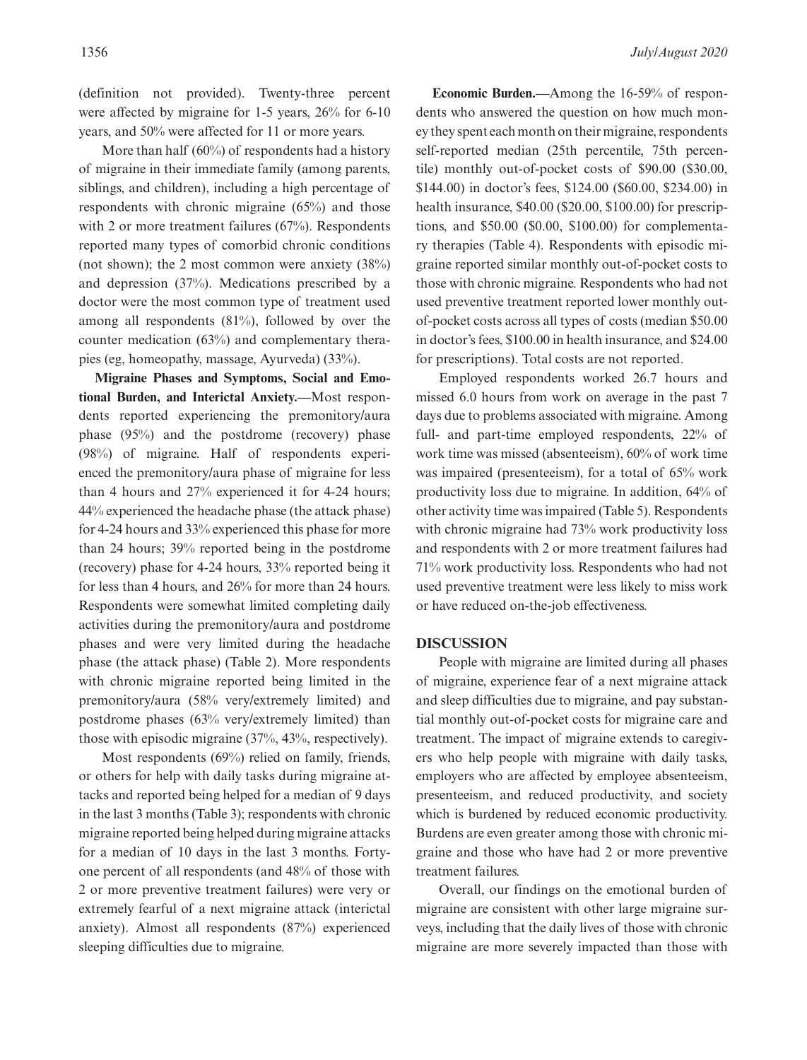(definition not provided). Twenty-three percent were affected by migraine for 1-5 years, 26% for 6-10 years, and 50% were affected for 11 or more years.

More than half (60%) of respondents had a history of migraine in their immediate family (among parents, siblings, and children), including a high percentage of respondents with chronic migraine (65%) and those with 2 or more treatment failures (67%). Respondents reported many types of comorbid chronic conditions (not shown); the 2 most common were anxiety (38%) and depression (37%). Medications prescribed by a doctor were the most common type of treatment used among all respondents (81%), followed by over the counter medication (63%) and complementary therapies (eg, homeopathy, massage, Ayurveda) (33%).

**Migraine Phases and Symptoms, Social and Emotional Burden, and Interictal Anxiety.—**Most respondents reported experiencing the premonitory/aura phase (95%) and the postdrome (recovery) phase (98%) of migraine. Half of respondents experienced the premonitory/aura phase of migraine for less than 4 hours and 27% experienced it for 4-24 hours; 44% experienced the headache phase (the attack phase) for 4-24 hours and 33% experienced this phase for more than 24 hours; 39% reported being in the postdrome (recovery) phase for 4-24 hours, 33% reported being it for less than 4 hours, and 26% for more than 24 hours. Respondents were somewhat limited completing daily activities during the premonitory/aura and postdrome phases and were very limited during the headache phase (the attack phase) (Table 2). More respondents with chronic migraine reported being limited in the premonitory/aura (58% very/extremely limited) and postdrome phases (63% very/extremely limited) than those with episodic migraine (37%, 43%, respectively).

Most respondents (69%) relied on family, friends, or others for help with daily tasks during migraine attacks and reported being helped for a median of 9 days in the last 3 months (Table 3); respondents with chronic migraine reported being helped during migraine attacks for a median of 10 days in the last 3 months. Fortyone percent of all respondents (and 48% of those with 2 or more preventive treatment failures) were very or extremely fearful of a next migraine attack (interictal anxiety). Almost all respondents (87%) experienced sleeping difficulties due to migraine.

**Economic Burden.—**Among the 16-59% of respondents who answered the question on how much money they spent each month on their migraine, respondents self-reported median (25th percentile, 75th percentile) monthly out-of-pocket costs of \$90.00 (\$30.00, \$144.00) in doctor's fees, \$124.00 (\$60.00, \$234.00) in health insurance, \$40.00 (\$20.00, \$100.00) for prescriptions, and \$50.00 (\$0.00, \$100.00) for complementary therapies (Table 4). Respondents with episodic migraine reported similar monthly out-of-pocket costs to those with chronic migraine. Respondents who had not used preventive treatment reported lower monthly outof-pocket costs across all types of costs (median \$50.00 in doctor's fees, \$100.00 in health insurance, and \$24.00 for prescriptions). Total costs are not reported.

Employed respondents worked 26.7 hours and missed 6.0 hours from work on average in the past 7 days due to problems associated with migraine. Among full- and part-time employed respondents, 22% of work time was missed (absenteeism), 60% of work time was impaired (presenteeism), for a total of 65% work productivity loss due to migraine. In addition, 64% of other activity time was impaired (Table 5). Respondents with chronic migraine had 73% work productivity loss and respondents with 2 or more treatment failures had 71% work productivity loss. Respondents who had not used preventive treatment were less likely to miss work or have reduced on-the-job effectiveness.

#### **DISCUSSION**

People with migraine are limited during all phases of migraine, experience fear of a next migraine attack and sleep difficulties due to migraine, and pay substantial monthly out-of-pocket costs for migraine care and treatment. The impact of migraine extends to caregivers who help people with migraine with daily tasks, employers who are affected by employee absenteeism, presenteeism, and reduced productivity, and society which is burdened by reduced economic productivity. Burdens are even greater among those with chronic migraine and those who have had 2 or more preventive treatment failures.

Overall, our findings on the emotional burden of migraine are consistent with other large migraine surveys, including that the daily lives of those with chronic migraine are more severely impacted than those with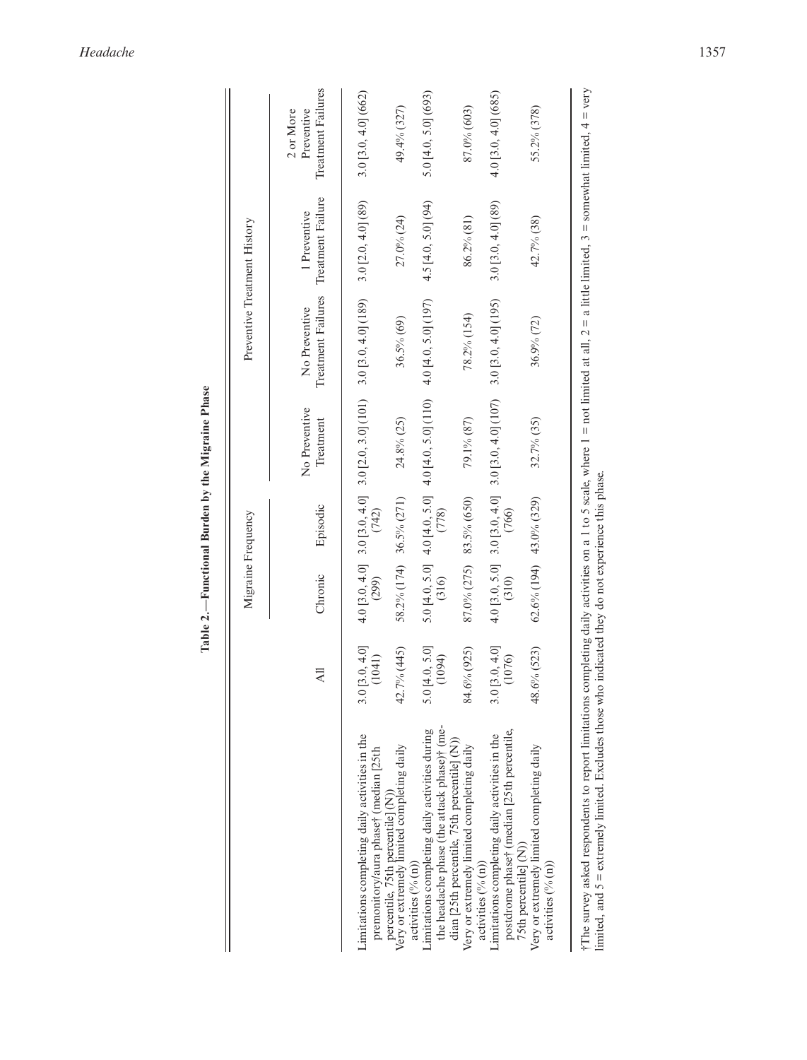| Ā                                           |
|---------------------------------------------|
| J<br>I                                      |
| ֧֧֧֧֧֚֚֚֚֚֚֚֚֚֚֚֚֚֚֚֚֚֚֚֚֚֚֚֚֚֚֡֝֝֓֝֟֓֝֬֝֓֝ |
| i                                           |
|                                             |
| į                                           |
| j                                           |

|                                                                                                                                                                                                                                                                                               |                                   |         | Migraine Frequency            |                                                                   |                                                                                        | Preventive Treatment History      |                                               |
|-----------------------------------------------------------------------------------------------------------------------------------------------------------------------------------------------------------------------------------------------------------------------------------------------|-----------------------------------|---------|-------------------------------|-------------------------------------------------------------------|----------------------------------------------------------------------------------------|-----------------------------------|-----------------------------------------------|
|                                                                                                                                                                                                                                                                                               | $\overline{a}$                    | Chronic | Episodic                      | No Preventive<br>Treatment                                        | Treatment Failures<br>No Preventive                                                    | Treatment Failure<br>1 Preventive | Treatment Failures<br>Preventive<br>2 or More |
| Limitations completing daily activities in the<br>premonitory/aura phase† (median [25th                                                                                                                                                                                                       | $3.0$ [ $3.0$ , $4.0$ ]<br>(1041) |         |                               |                                                                   | 4.0 [3.0, 4.0] 3.0 [3.0, 4.0] 3.0 [2.0, 3.0] (101) 3.0 [3.0, 4.0] (189)<br>(299) (742) | $3.0$ [ $2.0$ , $4.0$ ] (89)      | $3.0$ [ $3.0$ , $4.0$ ] ( $662$ )             |
| percentile, 75th percentile] (N))<br>Very or extremely limited completing daily                                                                                                                                                                                                               | 7% (445)<br>Ą.                    |         | 58.2% (174) 36.5% (271)       | 24.8% (25)                                                        | 36.5% (69)                                                                             | 27.0% (24)                        | 49.4% (327)                                   |
| the headache phase (the attack phase) <sup>†</sup> (me-<br>Limitations completing daily activities during<br>activities $(\% (n))$                                                                                                                                                            | 5.0 [4.0, 5.0]<br>(1094)          |         |                               | 5.0 [4.0, 5.0] 4.0 [4.0, 5.0] 4.0 [4.0, 5.0] (110)<br>(316) (778) | $4.0$ [ $4.0$ , $5.0$ ] ( $197$ )                                                      | $4.5$ [4.0, 5.0] (94)             | $5.0$ [4.0, $5.0$ ] (693)                     |
| dian [25th percentile, 75th percentile] (N))<br>Very or extremely limited completing daily                                                                                                                                                                                                    | 6% (925)<br>84.                   |         | $87.0\% (275)$ $83.5\% (650)$ | 79.1% (87)                                                        | 78.2% (154)                                                                            | 86.2% (81)                        | 87.0% (603)                                   |
| postdrome phase† (median [25th percentile,<br>Limitations completing daily activities in the<br>activities $(^{9}$ <sub>6</sub> $(n)$ )                                                                                                                                                       | $3.0$ [ $3.0$ , $4.0$ ]<br>(1076) | (310)   | (766)                         | $4.0$ [3.0, 5.0] 3.0 [3.0, 4.0] 3.0 [3.0, 4.0] (107)              | $3.0$ [ $3.0$ , $4.0$ ] ( $195$ )                                                      | $3.0$ [ $3.0$ , $4.0$ ] (89)      | $4.0$ [3.0, $4.0$ ] (685)                     |
| Very or extremely limited completing daily<br>75th percentile] (N))<br>activities $(\% (n))$                                                                                                                                                                                                  | 6% (523)<br>48.                   |         | $62.6\%$ (194) 43.0% (329)    | 32.7% (35)                                                        | 36.9% (72)                                                                             | 42.7% (38)                        | 55.2% (378)                                   |
| The survey asked respondents to report limitations completing daily activities on a 1 to 5 scale, where 1 = not limited at all, $2 = a$ little limited, 3 = somewhat limited, 4 = very<br>limited, and 5 = extremely limited. Excludes those who indicated they do not experience this phase. |                                   |         |                               |                                                                   |                                                                                        |                                   |                                               |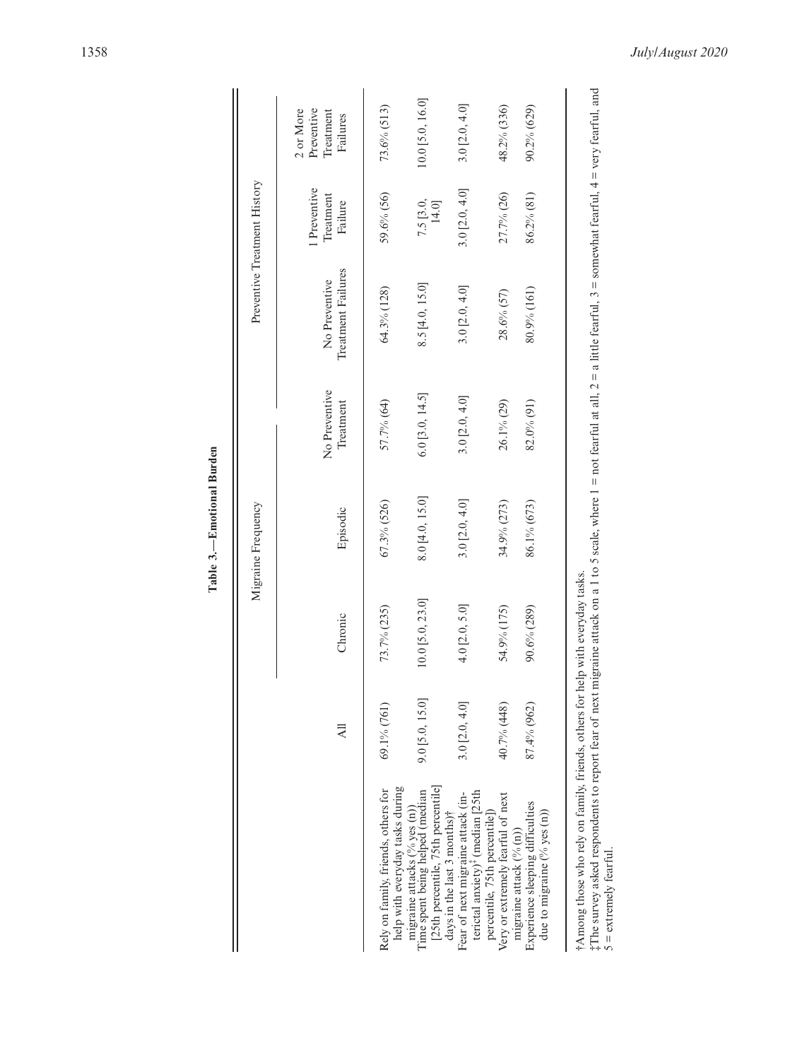|                                                                                                                   |                  |                    | Migraine Frequency      |                            |                                     | Preventive Treatment History       |                                                  |
|-------------------------------------------------------------------------------------------------------------------|------------------|--------------------|-------------------------|----------------------------|-------------------------------------|------------------------------------|--------------------------------------------------|
|                                                                                                                   | ₹                | Chronic            | Episodic                | No Preventive<br>Treatment | Treatment Failures<br>No Preventive | Preventive<br>Treatment<br>Failure | Preventive<br>2 or More<br>Treatment<br>Failures |
| help with everyday tasks during<br>Rely on family, friends, others for                                            | 69.1% (761)      | 73.7% (235)        | 67.3% (526)             | 57.7% (64)                 | 64.3% (128)                         | 59.6% (56)                         | $73.6\%$ (513)                                   |
| [25th percentile, 75th percentile]<br>Time spent being helped (median<br>migraine attacks ( $\frac{6}{3}$ yes (n) | 9.0 [5.0, 15.0]  | $10.0$ [5.0, 23.0] | 8.0 [4.0, 15.0]         | $6.0$ [3.0, 14.5]          | 8.5 [4.0, 15.0]                     | 7.5 [3.0,<br>14.0]                 | $10.0$ [5.0, 16.0]                               |
| terictal anxiety) <sup>‡</sup> (median [25th<br>Fear of next migraine attack (in-<br>days in the last 3 months)†  | 3.0 $[2.0, 4.0]$ | 4.0 [2.0, 5.0]     | $3.0$ [ $2.0$ , $4.0$ ] | 3.0 [2.0, 4.0]             | 3.0 [2.0, 4.0]                      | $3.0$ [2.0, 4.0]                   | 3.0 [2.0, 4.0]                                   |
| Very or extremely fearful of next<br>percentile, 75th percentile]                                                 | 40.7% (448)      | 54.9% (175)        | 34.9% (273)             | 26.1% (29)                 | 28.6% (57)                          | 27.7% (26)                         | 48.2% (336)                                      |
| Experience sleeping difficulties<br>due to migraine $(^{0}_{0}$ yes (n))<br>migraine attack $(% (n))$             | 87.4% (962)      | 90.6% (289)        | 86.1% (673)             | 82.0% (91)                 | 80.9% (161)                         | 86.2% (81)                         | 90.2% (629)                                      |
| thanouse those who rely on family friends, others for help with exercise to des                                   |                  |                    |                         |                            |                                     |                                    |                                                  |

Table 3.-Emotional Burden **Table 3.—Emotional Burden**

†Among those who rely on family, friends, others for help with everyday tasks.<br>‡The survey asked respondents to report fear of next migraine attack on a 1 to 5 scale, where 1 = not fearful at all, 2 = a little fearful, 3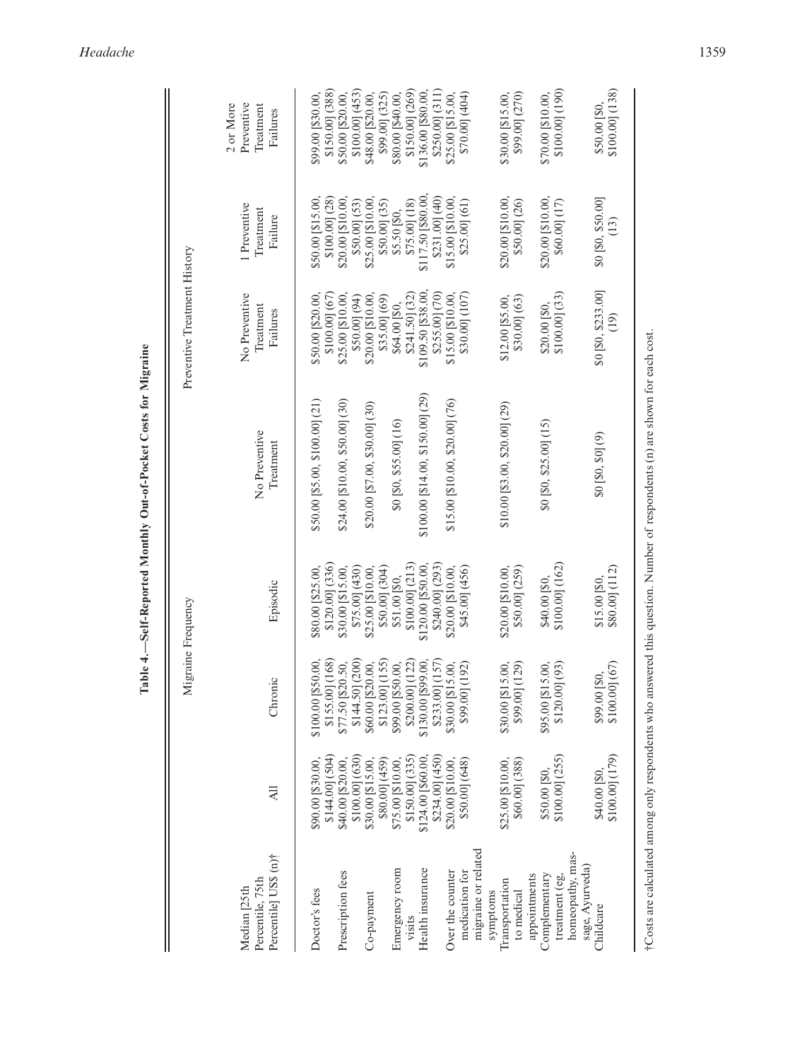|                                                                                  |                                      |                                          | Migraine Frequency                   |                                                                                                                                        | <b>Preventive Treatment History</b>                  |                                                     |                                                  |
|----------------------------------------------------------------------------------|--------------------------------------|------------------------------------------|--------------------------------------|----------------------------------------------------------------------------------------------------------------------------------------|------------------------------------------------------|-----------------------------------------------------|--------------------------------------------------|
| Percentile] US\$ (n) <sup>†</sup><br>Percentile, 75th<br>Median <sub>[25th</sub> | $\overline{a}$                       | Chronic                                  | Episodic                             | No Preventive<br>Treatment                                                                                                             | No Preventive<br>Treatment<br>Failures               | Preventive<br>Treatment<br>Failure                  | Preventive<br>Treatment<br>2 or More<br>Failures |
| Doctor's fees                                                                    | \$144.00] (504)<br>\$90.00 [\$30.00, | \$155.00] (168)<br>\$100.00 [\$50.00     | \$120.00] (336)<br>\$80.00 [\$25.00, | $$50.00$ [\$5.00, \$100.00] (21)                                                                                                       | \$50.00 [\$20.00,<br>\$100.001(67)                   | \$50.00 [\$15.00,<br>\$100.001(28)                  | \$150.00] (388)<br>\$99.00 [\$30.00,             |
| Prescription fees                                                                | \$100.00] (630)<br>\$40.00 [\$20.00, | \$77.50 [\$20.50,<br>\$144.50] (200)     | \$30.00 [\$15.00,<br>\$75.001(430)   | \$24.00 [\$10.00, \$50.00] (30)                                                                                                        | \$25.00 [\$10.00,<br>\$50.001 (94)                   | \$20.00 [\$10.00,<br>\$50.001 (53)                  | \$100.001(453)<br>\$50.00 [\$20.00,              |
| Co-payment                                                                       | \$80.00] (459)<br>\$30.00 [\$15.00,  | \$123.00] (155)<br>\$20.00<br>\$60.00 [5 | \$50.00] (304)<br>\$25.00 [\$10.00.  | \$20.00 [\$7.00, \$30.00] (30)                                                                                                         | \$20.00 [\$10.00,<br>\$35.00] (69)                   | \$25.00 [\$10.00,<br>\$50.001(35)                   | \$99.00] (325)<br>\$48.00 [\$20.00,              |
| Emergency room<br>visits                                                         | \$150.00] (335)<br>\$75.00 [\$10.00, | \$200.00] (122)<br>\$50.00<br>100.66\$   | \$100.001(213)<br>\$51.00 [\$0.      | \$0 [\$0, \$55.00] (16)                                                                                                                | \$241.50] (32)<br>\$64.00 [\$0,                      | \$75.001(18)<br>\$5.50 [\$0.                        | \$150.001(269)<br>\$80.00 [\$40.00,              |
| Health insurance                                                                 | \$234.00] (450)<br>\$124.00 [\$60.00 | \$233.00] (157)<br>\$130.00 [\$99.00.    | \$240.00] (293)<br>\$120.00 [\$50.00 | \$100.00 [\$14.00, \$150.00] (29)                                                                                                      | \$109.50 [\$38.00,<br>\$255.001 (70)                 | \$117.50 [\$80.00.<br>\$231.001(40)                 | \$250.001 (311)<br>\$136.00 [\$80.00,            |
| migraine or related<br>Over the counter<br>medication for                        | \$50.00] (648)<br>\$20.00 [\$10.00   | \$99.00] (192)<br>\$30.00 [\$15.00.      | \$45.00] (456)<br>\$20.00 [\$10.00.  | $$15.00$ [\$10.00, \$20.00] (76)                                                                                                       | \$30.00] (107)<br>\$15.00 [\$10.00                   | \$15.00 [\$10.00.<br>\$25.001(61)                   | \$70.001(404)<br>\$25.00 [\$15.00,               |
| Transportation<br>symptoms<br>to medical                                         | \$25.00 [\$10.00,<br>\$60.00] (388)  | \$99.00] (129)<br>\$15.00<br>\$30.00 [   | \$50.00] (259)<br>\$20.00 [\$10.00   | $$10.00$ [\$3.00, \$20.00] (29)                                                                                                        | \$30.00] (63)<br>\$12.00 [\$5.00.                    | \$20.00 [\$10.00<br>\$50.001 (26)                   | \$99.00] (270)<br>\$30.00 [\$15.00,              |
| homeopathy, mas-<br>appointments<br>Complementary<br>treatment (eg,              | \$100.00] (255)<br>\$50.00 [\$0,     | \$120.00] (93)<br>\$95.00 [\$15.00       | \$100.00] (162)<br>\$40.00 [\$0.     | \$0 [\$0, \$25.00] (15)                                                                                                                | \$100.001(33)<br>\$20.00 [\$0.                       | \$20.00 [\$10.00,<br>\$60.001(17)                   | \$100.001(190)<br>\$70.00 [\$10.00,              |
| sage, Ayurveda<br>Childcare                                                      | \$100.00] (179)<br>\$40.00 [\$0.     | $$100.00]$ (67)<br>\$99.00 [\$0.         | \$80.00] (112)<br>\$15.00 ISO        | \$0 [\$0, \$0] (9)                                                                                                                     | \$0 [\$0, \$233.00]<br>$\left( \frac{19}{2} \right)$ | \$0 [\$0, \$50.00]<br>$\left( \frac{13}{2} \right)$ | \$100.001(138)<br>\$50.00 [\$0.                  |
|                                                                                  |                                      |                                          |                                      | <sup>†</sup> Costs are calculated among only respondents who answered this question. Number of respondents (n) are shown for each cost |                                                      |                                                     |                                                  |

Table 4.-Self-Reported Monthly Out-of-Pocket Costs for Migraine **Table 4.—Self-Reported Monthly Out-of-Pocket Costs for Migraine**

*Headache* 1359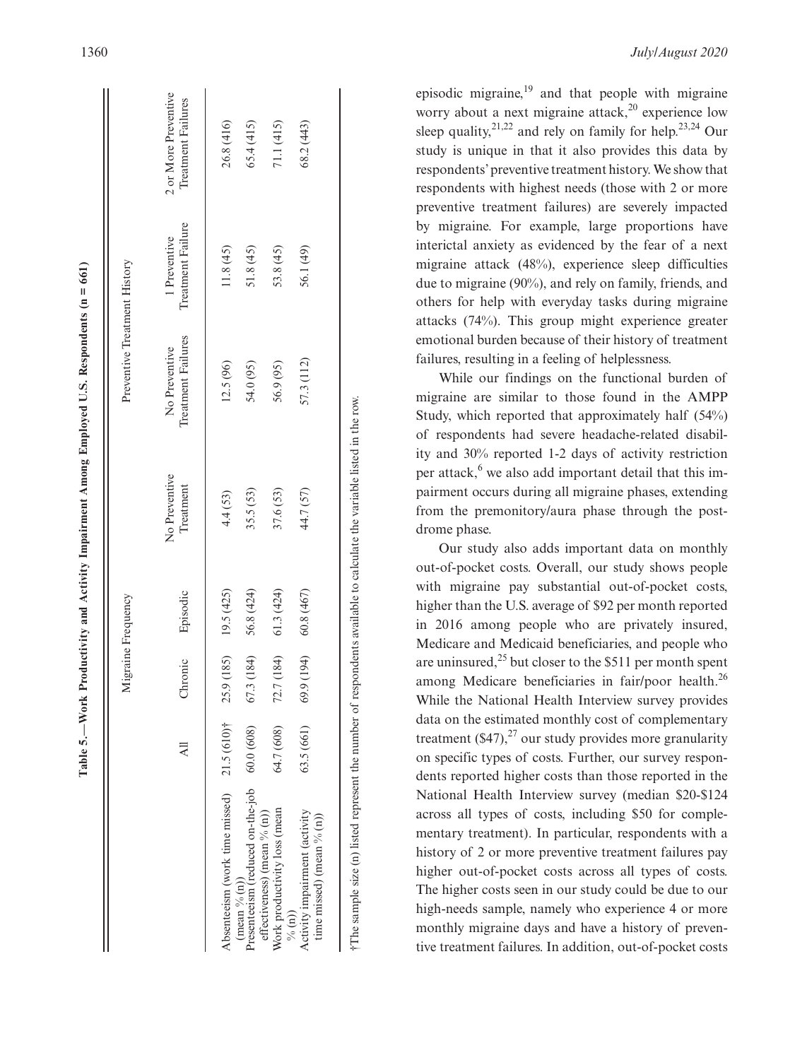|                                                                                                                       |                |            | Migraine Frequency |                            | Preventive Treatment History        |                                   |                                            |
|-----------------------------------------------------------------------------------------------------------------------|----------------|------------|--------------------|----------------------------|-------------------------------------|-----------------------------------|--------------------------------------------|
|                                                                                                                       | $\overline{a}$ | Chronic    | Episodic           | No Preventive<br>Treatment | Treatment Failures<br>No Preventive | Treatment Failure<br>1 Preventive | 2 or More Preventive<br>Treatment Failures |
| Absenteeism (work time missed) 21.5 (610)†                                                                            |                | 25.9 (185) | 19.5 (425)         | 4.4 (53)                   | 12.5 (96)                           | 11.8(45)                          | 26.8 (416)                                 |
| Presenteeism (reduced on-the-job<br>$(\text{mean } \% (n))$                                                           | 60.0(608)      | 67.3 (184) | 56.8 (424)         | 35.5 (53)                  | 54.0 (95)                           | 51.8(45)                          | 65.4 (415)                                 |
| Work productivity loss (mean<br>effectiveness) (mean $\%$ (n))                                                        | 64.7 (608)     | 72.7 (184) | 61.3 (424)         | 37.6 (53)                  | 56.9 (95)                           | 53.8 (45)                         | 71.1(415)                                  |
| Activity impairment (activity<br>time missed) (mean $\%$ (n))<br>$\%$ (n)                                             | 63.5(661)      | 69.9 (194) | 60.8 (467)         | 44.7 (57)                  | 57.3 (112)                          | 56.1 (49)                         | 68.2 (443)                                 |
| The sample size (n) listed represent the number of respondents available to calculate the variable listed in the row. |                |            |                    |                            |                                     |                                   |                                            |

episodic migraine, $19$  and that people with migraine worry about a next migraine attack, $^{20}$  experience low sleep quality,  $2^{1,22}$  and rely on family for help.<sup>23,24</sup> Our study is unique in that it also provides this data by respondents' preventive treatment history. We show that respondents with highest needs (those with 2 or more preventive treatment failures) are severely impacted by migraine. For example, large proportions have interictal anxiety as evidenced by the fear of a next migraine attack (48%), experience sleep difficulties due to migraine (90%), and rely on family, friends, and others for help with everyday tasks during migraine attacks (74%). This group might experience greater emotional burden because of their history of treatment failures, resulting in a feeling of helplessness.

While our findings on the functional burden of migraine are similar to those found in the AMPP Study, which reported that approximately half (54%) of respondents had severe headache-related disabil ity and 30% reported 1-2 days of activity restriction per attack,<sup>6</sup> we also add important detail that this impairment occurs during all migraine phases, extending from the premonitory/aura phase through the post drome phase.

Our study also adds important data on monthly out-of-pocket costs. Overall, our study shows people with migraine pay substantial out-of-pocket costs, higher than the U.S. average of \$92 per month reported in 2016 among people who are privately insured, Medicare and Medicaid beneficiaries, and people who are uninsured, $^{25}$  but closer to the \$511 per month spent among Medicare beneficiaries in fair/poor health.<sup>26</sup> While the National Health Interview survey provides data on the estimated monthly cost of complementary treatment  $(S47)$ ,  $27$  our study provides more granularity on specific types of costs. Further, our survey respon dents reported higher costs than those reported in the National Health Interview survey (median \$20-\$124 across all types of costs, including \$50 for comple mentary treatment). In particular, respondents with a history of 2 or more preventive treatment failures pay higher out-of-pocket costs across all types of costs. The higher costs seen in our study could be due to our high-needs sample, namely who experience 4 or more monthly migraine days and have a history of preven tive treatment failures. In addition, out-of-pocket costs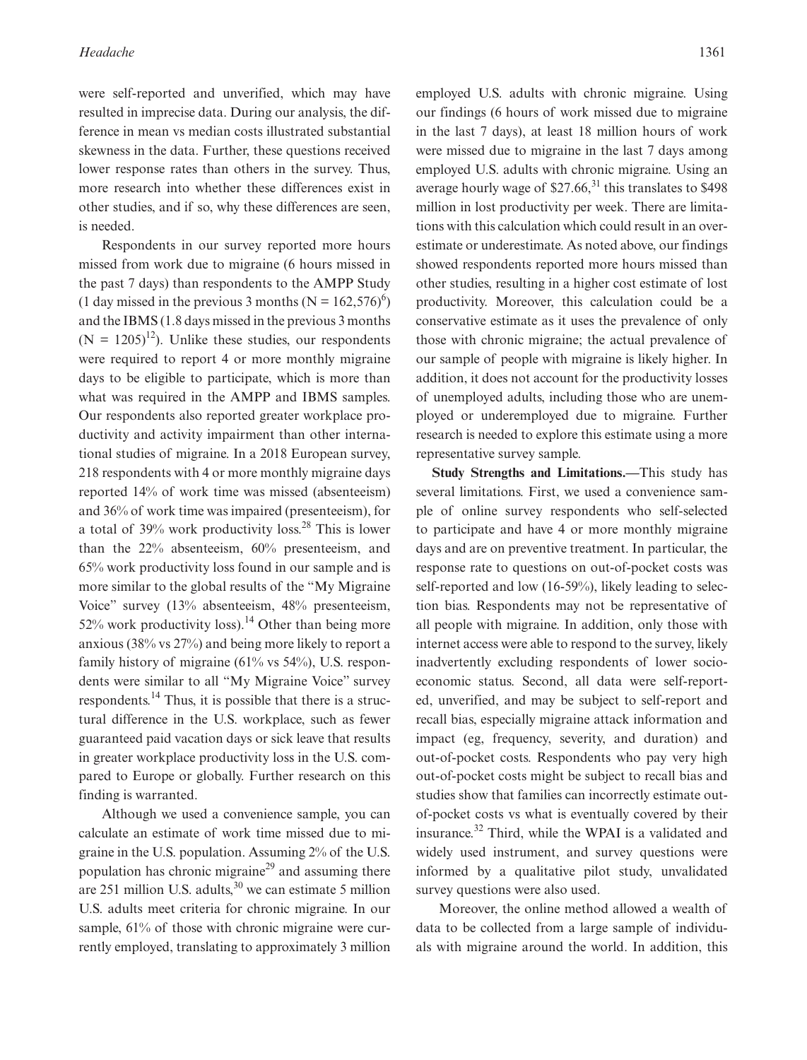were self-reported and unverified, which may have resulted in imprecise data. During our analysis, the difference in mean vs median costs illustrated substantial skewness in the data. Further, these questions received lower response rates than others in the survey. Thus, more research into whether these differences exist in other studies, and if so, why these differences are seen, is needed.

Respondents in our survey reported more hours missed from work due to migraine (6 hours missed in the past 7 days) than respondents to the AMPP Study (1 day missed in the previous 3 months  $(N = 162,576)^6$ ) and the IBMS (1.8 days missed in the previous 3 months  $(N = 1205)^{12}$ ). Unlike these studies, our respondents were required to report 4 or more monthly migraine days to be eligible to participate, which is more than what was required in the AMPP and IBMS samples. Our respondents also reported greater workplace productivity and activity impairment than other international studies of migraine. In a 2018 European survey, 218 respondents with 4 or more monthly migraine days reported 14% of work time was missed (absenteeism) and 36% of work time was impaired (presenteeism), for a total of  $39\%$  work productivity loss.<sup>28</sup> This is lower than the 22% absenteeism, 60% presenteeism, and 65% work productivity loss found in our sample and is more similar to the global results of the "My Migraine Voice" survey (13% absenteeism, 48% presenteeism,  $52\%$  work productivity loss).<sup>14</sup> Other than being more anxious (38% vs 27%) and being more likely to report a family history of migraine (61% vs 54%), U.S. respondents were similar to all "My Migraine Voice" survey respondents.<sup>14</sup> Thus, it is possible that there is a structural difference in the U.S. workplace, such as fewer guaranteed paid vacation days or sick leave that results in greater workplace productivity loss in the U.S. compared to Europe or globally. Further research on this finding is warranted.

Although we used a convenience sample, you can calculate an estimate of work time missed due to migraine in the U.S. population. Assuming 2% of the U.S. population has chronic migraine $^{29}$  and assuming there are 251 million U.S. adults, $30$  we can estimate 5 million U.S. adults meet criteria for chronic migraine. In our sample,  $61\%$  of those with chronic migraine were currently employed, translating to approximately 3 million employed U.S. adults with chronic migraine. Using our findings (6 hours of work missed due to migraine in the last 7 days), at least 18 million hours of work were missed due to migraine in the last 7 days among employed U.S. adults with chronic migraine. Using an average hourly wage of  $$27.66$ ,<sup>31</sup> this translates to \$498 million in lost productivity per week. There are limitations with this calculation which could result in an overestimate or underestimate. As noted above, our findings showed respondents reported more hours missed than other studies, resulting in a higher cost estimate of lost productivity. Moreover, this calculation could be a conservative estimate as it uses the prevalence of only those with chronic migraine; the actual prevalence of our sample of people with migraine is likely higher. In addition, it does not account for the productivity losses of unemployed adults, including those who are unemployed or underemployed due to migraine. Further research is needed to explore this estimate using a more representative survey sample.

**Study Strengths and Limitations.—**This study has several limitations. First, we used a convenience sample of online survey respondents who self-selected to participate and have 4 or more monthly migraine days and are on preventive treatment. In particular, the response rate to questions on out-of-pocket costs was self-reported and low (16-59%), likely leading to selection bias. Respondents may not be representative of all people with migraine. In addition, only those with internet access were able to respond to the survey, likely inadvertently excluding respondents of lower socioeconomic status. Second, all data were self-reported, unverified, and may be subject to self-report and recall bias, especially migraine attack information and impact (eg, frequency, severity, and duration) and out-of-pocket costs. Respondents who pay very high out-of-pocket costs might be subject to recall bias and studies show that families can incorrectly estimate outof-pocket costs vs what is eventually covered by their insurance.32 Third, while the WPAI is a validated and widely used instrument, and survey questions were informed by a qualitative pilot study, unvalidated survey questions were also used.

Moreover, the online method allowed a wealth of data to be collected from a large sample of individuals with migraine around the world. In addition, this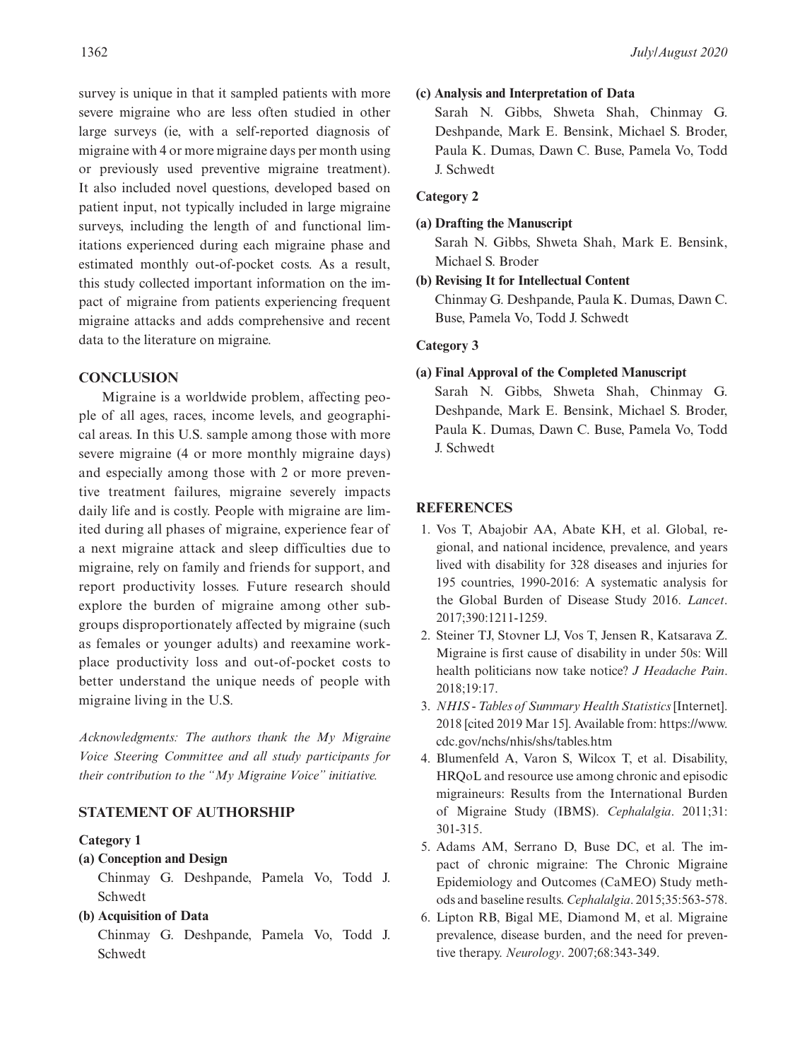survey is unique in that it sampled patients with more severe migraine who are less often studied in other large surveys (ie, with a self-reported diagnosis of migraine with 4 or more migraine days per month using or previously used preventive migraine treatment). It also included novel questions, developed based on patient input, not typically included in large migraine surveys, including the length of and functional limitations experienced during each migraine phase and estimated monthly out-of-pocket costs. As a result, this study collected important information on the impact of migraine from patients experiencing frequent migraine attacks and adds comprehensive and recent data to the literature on migraine.

# **CONCLUSION**

Migraine is a worldwide problem, affecting people of all ages, races, income levels, and geographical areas. In this U.S. sample among those with more severe migraine (4 or more monthly migraine days) and especially among those with 2 or more preventive treatment failures, migraine severely impacts daily life and is costly. People with migraine are limited during all phases of migraine, experience fear of a next migraine attack and sleep difficulties due to migraine, rely on family and friends for support, and report productivity losses. Future research should explore the burden of migraine among other subgroups disproportionately affected by migraine (such as females or younger adults) and reexamine workplace productivity loss and out-of-pocket costs to better understand the unique needs of people with migraine living in the U.S.

*Acknowledgments: The authors thank the My Migraine Voice Steering Committee and all study participants for their contribution to the "My Migraine Voice" initiative.*

# **STATEMENT OF AUTHORSHIP**

#### **Category 1**

#### **(a) Conception and Design**

Chinmay G. Deshpande, Pamela Vo, Todd J. Schwedt

# **(b) Acquisition of Data**

Chinmay G. Deshpande, Pamela Vo, Todd J. Schwedt

# **(c) Analysis and Interpretation of Data**

Sarah N. Gibbs, Shweta Shah, Chinmay G. Deshpande, Mark E. Bensink, Michael S. Broder, Paula K. Dumas, Dawn C. Buse, Pamela Vo, Todd J. Schwedt

# **Category 2**

# **(a) Drafting the Manuscript**

Sarah N. Gibbs, Shweta Shah, Mark E. Bensink, Michael S. Broder

**(b) Revising It for Intellectual Content**

Chinmay G. Deshpande, Paula K. Dumas, Dawn C. Buse, Pamela Vo, Todd J. Schwedt

# **Category 3**

#### **(a) Final Approval of the Completed Manuscript**

Sarah N. Gibbs, Shweta Shah, Chinmay G. Deshpande, Mark E. Bensink, Michael S. Broder, Paula K. Dumas, Dawn C. Buse, Pamela Vo, Todd J. Schwedt

# **REFERENCES**

- 1. Vos T, Abajobir AA, Abate KH, et al. Global, regional, and national incidence, prevalence, and years lived with disability for 328 diseases and injuries for 195 countries, 1990-2016: A systematic analysis for the Global Burden of Disease Study 2016. *Lancet*. 2017;390:1211-1259.
- 2. Steiner TJ, Stovner LJ, Vos T, Jensen R, Katsarava Z. Migraine is first cause of disability in under 50s: Will health politicians now take notice? *J Headache Pain*. 2018;19:17.
- 3. *NHIS Tables of Summary Health Statistics* [Internet]. 2018 [cited 2019 Mar 15]. Available from: [https://www.](https://www.cdc.gov/nchs/nhis/shs/tables.htm) [cdc.gov/nchs/nhis/shs/tables.htm](https://www.cdc.gov/nchs/nhis/shs/tables.htm)
- 4. Blumenfeld A, Varon S, Wilcox T, et al. Disability, HRQoL and resource use among chronic and episodic migraineurs: Results from the International Burden of Migraine Study (IBMS). *Cephalalgia*. 2011;31: 301-315.
- 5. Adams AM, Serrano D, Buse DC, et al. The impact of chronic migraine: The Chronic Migraine Epidemiology and Outcomes (CaMEO) Study methods and baseline results. *Cephalalgia*. 2015;35:563-578.
- 6. Lipton RB, Bigal ME, Diamond M, et al. Migraine prevalence, disease burden, and the need for preventive therapy. *Neurology*. 2007;68:343-349.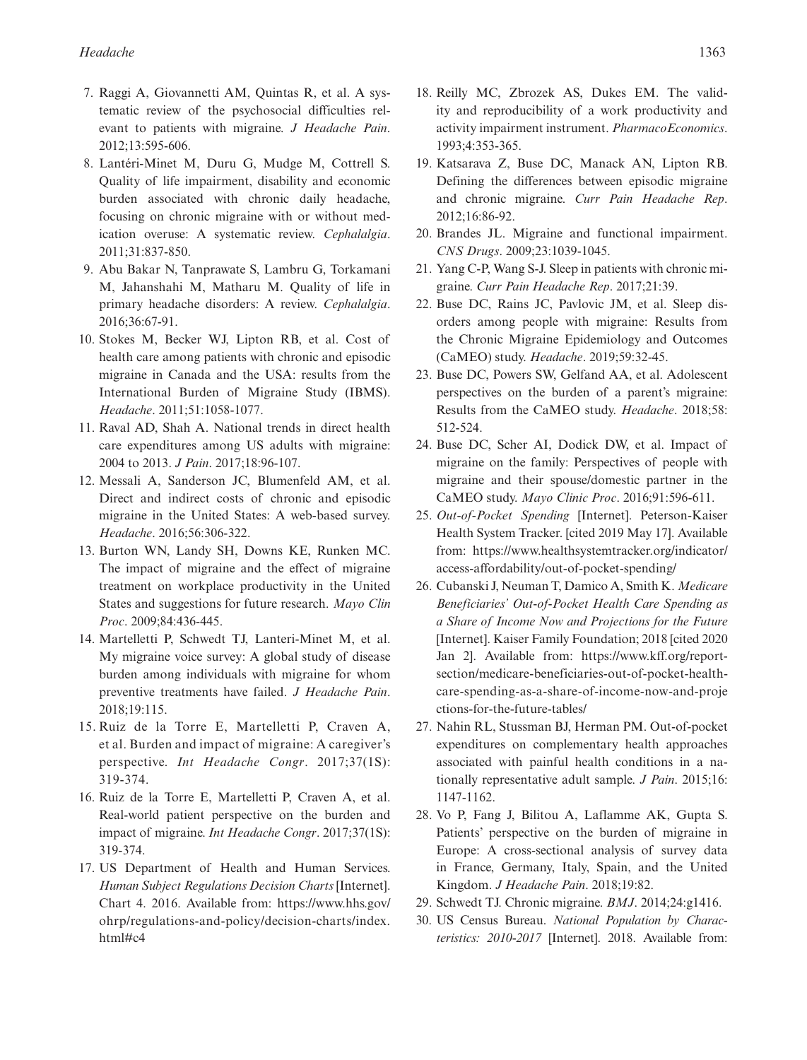- 7. Raggi A, Giovannetti AM, Quintas R, et al. A systematic review of the psychosocial difficulties relevant to patients with migraine. *J Headache Pain*. 2012;13:595-606.
- 8. Lantéri-Minet M, Duru G, Mudge M, Cottrell S. Quality of life impairment, disability and economic burden associated with chronic daily headache, focusing on chronic migraine with or without medication overuse: A systematic review. *Cephalalgia*. 2011;31:837-850.
- 9. Abu Bakar N, Tanprawate S, Lambru G, Torkamani M, Jahanshahi M, Matharu M. Quality of life in primary headache disorders: A review. *Cephalalgia*. 2016;36:67-91.
- 10. Stokes M, Becker WJ, Lipton RB, et al. Cost of health care among patients with chronic and episodic migraine in Canada and the USA: results from the International Burden of Migraine Study (IBMS). *Headache*. 2011;51:1058-1077.
- 11. Raval AD, Shah A. National trends in direct health care expenditures among US adults with migraine: 2004 to 2013. *J Pain*. 2017;18:96-107.
- 12. Messali A, Sanderson JC, Blumenfeld AM, et al. Direct and indirect costs of chronic and episodic migraine in the United States: A web-based survey. *Headache*. 2016;56:306-322.
- 13. Burton WN, Landy SH, Downs KE, Runken MC. The impact of migraine and the effect of migraine treatment on workplace productivity in the United States and suggestions for future research. *Mayo Clin Proc*. 2009;84:436-445.
- 14. Martelletti P, Schwedt TJ, Lanteri-Minet M, et al. My migraine voice survey: A global study of disease burden among individuals with migraine for whom preventive treatments have failed. *J Headache Pain*. 2018;19:115.
- 15. Ruiz de la Torre E, Martelletti P, Craven A, et al. Burden and impact of migraine: A caregiver's perspective. *Int Headache Congr*. 2017;37(1S): 319-374.
- 16. Ruiz de la Torre E, Martelletti P, Craven A, et al. Real-world patient perspective on the burden and impact of migraine. *Int Headache Congr*. 2017;37(1S): 319-374.
- 17. US Department of Health and Human Services. *Human Subject Regulations Decision Charts* [Internet]. Chart 4. 2016. Available from: [https://www.hhs.gov/](https://www.hhs.gov/ohrp/regulations-and-policy/decision-charts/index.html#c4) [ohrp/regulations-and-policy/decision-charts/index.](https://www.hhs.gov/ohrp/regulations-and-policy/decision-charts/index.html#c4) [html#c4](https://www.hhs.gov/ohrp/regulations-and-policy/decision-charts/index.html#c4)
- 18. Reilly MC, Zbrozek AS, Dukes EM. The validity and reproducibility of a work productivity and activity impairment instrument. *PharmacoEconomics*. 1993;4:353-365.
- 19. Katsarava Z, Buse DC, Manack AN, Lipton RB. Defining the differences between episodic migraine and chronic migraine. *Curr Pain Headache Rep*. 2012;16:86-92.
- 20. Brandes JL. Migraine and functional impairment. *CNS Drugs*. 2009;23:1039-1045.
- 21. Yang C-P, Wang S-J. Sleep in patients with chronic migraine. *Curr Pain Headache Rep*. 2017;21:39.
- 22. Buse DC, Rains JC, Pavlovic JM, et al. Sleep disorders among people with migraine: Results from the Chronic Migraine Epidemiology and Outcomes (CaMEO) study. *Headache*. 2019;59:32-45.
- 23. Buse DC, Powers SW, Gelfand AA, et al. Adolescent perspectives on the burden of a parent's migraine: Results from the CaMEO study. *Headache*. 2018;58: 512-524.
- 24. Buse DC, Scher AI, Dodick DW, et al. Impact of migraine on the family: Perspectives of people with migraine and their spouse/domestic partner in the CaMEO study. *Mayo Clinic Proc*. 2016;91:596-611.
- 25. *Out-of-Pocket Spending* [Internet]. Peterson-Kaiser Health System Tracker. [cited 2019 May 17]. Available from: [https://www.healthsystemtracker.org/indicator/](https://www.healthsystemtracker.org/indicator/access-affordability/out-of-pocket-spending/) [access-affordability/out-of-pocket-spending/](https://www.healthsystemtracker.org/indicator/access-affordability/out-of-pocket-spending/)
- 26. Cubanski J, Neuman T, Damico A, Smith K. *Medicare Beneficiaries' Out-of-Pocket Health Care Spending as a Share of Income Now and Projections for the Future* [Internet]. Kaiser Family Foundation; 2018 [cited 2020 Jan 2]. Available from: [https://www.kff.org/report](https://www.kff.org/report-section/medicare-beneficiaries-out-of-pocket-health-care-spending-as-a-share-of-income-now-and-projections-for-the-future-tables/)[section/medicare-beneficiaries-out-of-pocket-health](https://www.kff.org/report-section/medicare-beneficiaries-out-of-pocket-health-care-spending-as-a-share-of-income-now-and-projections-for-the-future-tables/)[care-spending-as-a-share-of-income-now-and-proje](https://www.kff.org/report-section/medicare-beneficiaries-out-of-pocket-health-care-spending-as-a-share-of-income-now-and-projections-for-the-future-tables/) [ctions-for-the-future-tables/](https://www.kff.org/report-section/medicare-beneficiaries-out-of-pocket-health-care-spending-as-a-share-of-income-now-and-projections-for-the-future-tables/)
- 27. Nahin RL, Stussman BJ, Herman PM. Out-of-pocket expenditures on complementary health approaches associated with painful health conditions in a nationally representative adult sample. *J Pain*. 2015;16: 1147-1162.
- 28. Vo P, Fang J, Bilitou A, Laflamme AK, Gupta S. Patients' perspective on the burden of migraine in Europe: A cross-sectional analysis of survey data in France, Germany, Italy, Spain, and the United Kingdom. *J Headache Pain*. 2018;19:82.
- 29. Schwedt TJ. Chronic migraine. *BMJ*. 2014;24:g1416.
- 30. US Census Bureau. *National Population by Characteristics: 2010-2017* [Internet]. 2018. Available from: